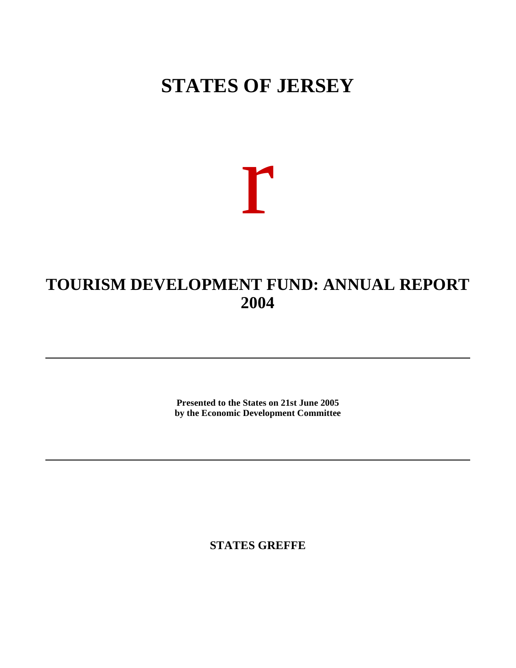# **STATES OF JERSEY**

r

# **TOURISM DEVELOPMENT FUND: ANNUAL REPORT 2004**

**Presented to the States on 21st June 2005 by the Economic Development Committee**

**STATES GREFFE**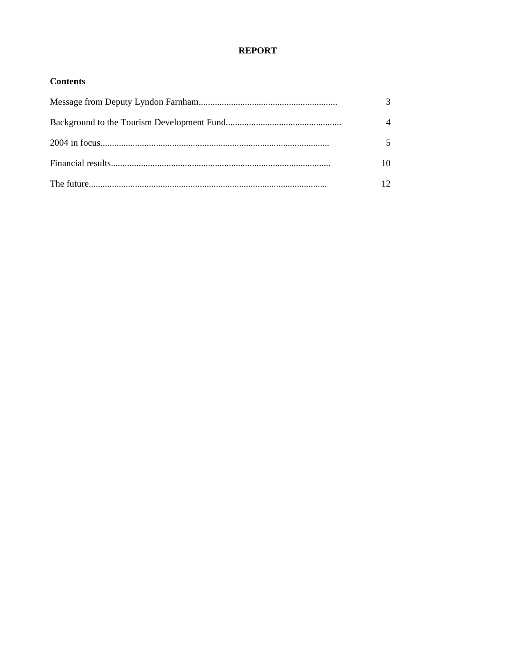# **REPORT**

## **Contents**

| $\mathcal{R}$ |
|---------------|
|               |
|               |
| 10            |
| $12 \,$       |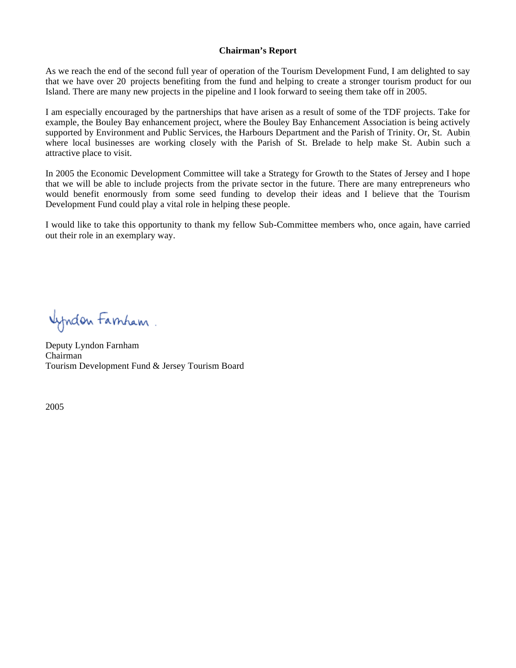#### **Chairman's Report**

As we reach the end of the second full year of operation of the Tourism Development Fund, I am delighted to say that we have over 20 projects benefiting from the fund and helping to create a stronger tourism product for our Island. There are many new projects in the pipeline and I look forward to seeing them take off in 2005.

I am especially encouraged by the partnerships that have arisen as a result of some of the TDF projects. Take for example, the Bouley Bay enhancement project, where the Bouley Bay Enhancement Association is being actively supported by Environment and Public Services, the Harbours Department and the Parish of Trinity. Or, St. Aubin where local businesses are working closely with the Parish of St. Brelade to help make St. Aubin such a attractive place to visit.

In 2005 the Economic Development Committee will take a Strategy for Growth to the States of Jersey and I hope that we will be able to include projects from the private sector in the future. There are many entrepreneurs who would benefit enormously from some seed funding to develop their ideas and I believe that the Tourism Development Fund could play a vital role in helping these people.

I would like to take this opportunity to thank my fellow Sub-Committee members who, once again, have carried out their role in an exemplary way.

**Window Famham**.

Deputy Lyndon Farnham Chairman Tourism Development Fund & Jersey Tourism Board

2005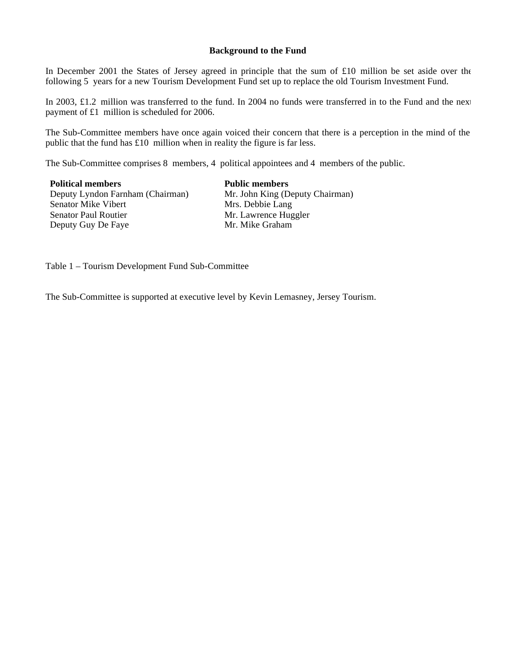#### **Background to the Fund**

In December 2001 the States of Jersey agreed in principle that the sum of £10 million be set aside over the following 5 years for a new Tourism Development Fund set up to replace the old Tourism Investment Fund.

In 2003, £1.2 million was transferred to the fund. In 2004 no funds were transferred in to the Fund and the next payment of £1 million is scheduled for 2006.

The Sub-Committee members have once again voiced their concern that there is a perception in the mind of the public that the fund has £10 million when in reality the figure is far less.

The Sub-Committee comprises 8 members, 4 political appointees and 4 members of the public.

**Political members Public members** Deputy Lyndon Farnham (Chairman) Mr. John King (Deputy Chairman) Senator Mike Vibert<br>Senator Paul Routier Deputy Guy De Faye

Mr. Lawrence Huggler<br>Mr. Mike Graham

Table 1 – Tourism Development Fund Sub-Committee

The Sub-Committee is supported at executive level by Kevin Lemasney, Jersey Tourism.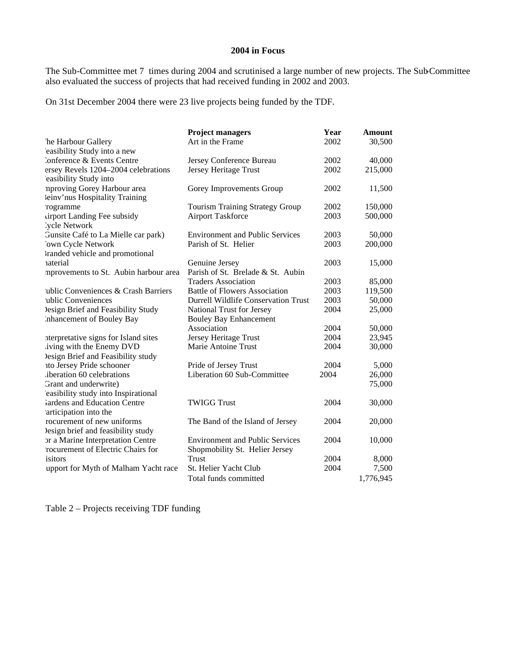#### **2004 in Focus**

The Sub-Committee met 7 times during 2004 and scrutinised a large number of new projects. The Sub-Committee also evaluated the success of projects that had received funding in 2002 and 2003.

On 31st December 2004 there were 23 live projects being funded by the TDF.

|                                       | <b>Project managers</b>                    | Year | <b>Amount</b> |
|---------------------------------------|--------------------------------------------|------|---------------|
| he Harbour Gallery                    | Art in the Frame                           | 2002 | 30,500        |
| easibility Study into a new           |                                            |      |               |
| <b>Conference &amp; Events Centre</b> | Jersey Conference Bureau                   | 2002 | 40,000        |
| ersey Revels 1204-2004 celebrations   | Jersey Heritage Trust                      | 2002 | 215,000       |
| easibility Study into                 |                                            |      |               |
| nproving Gorey Harbour area           | Gorey Improvements Group                   | 2002 | 11,500        |
| leinv'nus Hospitality Training        |                                            |      |               |
| 'rogramme                             | <b>Tourism Training Strategy Group</b>     | 2002 | 150,000       |
| <b>irport Landing Fee subsidy</b>     | <b>Airport Taskforce</b>                   | 2003 | 500,000       |
| 'ycle Network                         |                                            |      |               |
| Gunsite Café to La Mielle car park)   | <b>Environment and Public Services</b>     | 2003 | 50,000        |
| 'own Cycle Network                    | Parish of St. Helier                       | 2003 | 200,000       |
| tranded vehicle and promotional       |                                            |      |               |
| <i>aterial</i>                        | Genuine Jersey                             | 2003 | 15,000        |
| mprovements to St. Aubin harbour area | Parish of St. Brelade & St. Aubin          |      |               |
|                                       | <b>Traders Association</b>                 | 2003 | 85,000        |
| ublic Conveniences & Crash Barriers   | <b>Battle of Flowers Association</b>       | 2003 | 119,500       |
| 'ublic Conveniences                   | <b>Durrell Wildlife Conservation Trust</b> | 2003 | 50,000        |
| lesign Brief and Feasibility Study    | National Trust for Jersey                  | 2004 | 25,000        |
| Inhancement of Bouley Bay             | <b>Bouley Bay Enhancement</b>              |      |               |
|                                       | Association                                | 2004 | 50,000        |
| nterpretative signs for Island sites  | Jersey Heritage Trust                      | 2004 | 23,945        |
| iving with the Enemy DVD              | Marie Antoine Trust                        | 2004 | 30,000        |
| lesign Brief and Feasibility study    |                                            |      |               |
| ito Jersey Pride schooner             | Pride of Jersey Trust                      | 2004 | 5,000         |
| iberation 60 celebrations             | Liberation 60 Sub-Committee                | 2004 | 26,000        |
| Grant and underwrite)                 |                                            |      | 75,000        |
| easibility study into Inspirational   |                                            |      |               |
| fardens and Education Centre          | <b>TWIGG Trust</b>                         | 2004 | 30,000        |
| articipation into the                 |                                            |      |               |
| rocurement of new uniforms            | The Band of the Island of Jersey           | 2004 | 20,000        |
| lesign brief and feasibility study    |                                            |      |               |
| or a Marine Interpretation Centre     | <b>Environment and Public Services</b>     | 2004 | 10,000        |
| 'rocurement of Electric Chairs for    | Shopmobility St. Helier Jersey             |      |               |
| isitors                               | Trust                                      | 2004 | 8,000         |
| upport for Myth of Malham Yacht race  | St. Helier Yacht Club                      | 2004 | 7,500         |
|                                       | Total funds committed                      |      | 1,776,945     |

Table 2 – Projects receiving TDF funding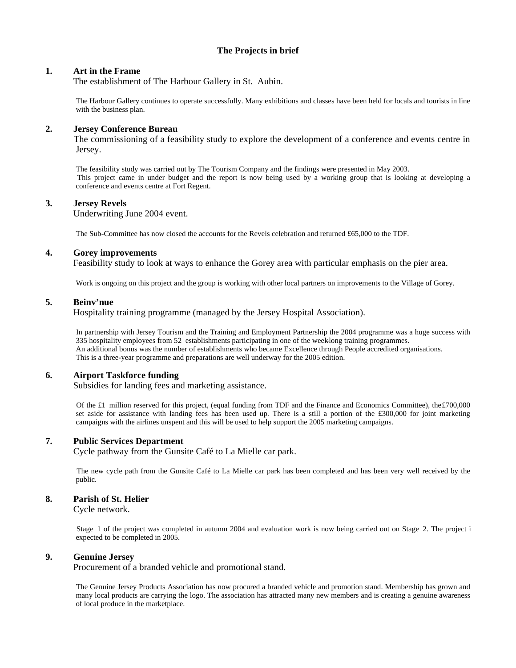## **The Projects in brief**

#### **1. Art in the Frame**

The establishment of The Harbour Gallery in St. Aubin.

 The Harbour Gallery continues to operate successfully. Many exhibitions and classes have been held for locals and tourists in line with the business plan.

#### **2. Jersey Conference Bureau**

 The commissioning of a feasibility study to explore the development of a conference and events centre in Jersey.

 The feasibility study was carried out by The Tourism Company and the findings were presented in May 2003. This project came in under budget and the report is now being used by a working group that is looking at developing a conference and events centre at Fort Regent.

#### **3. Jersey Revels**

Underwriting June 2004 event.

The Sub-Committee has now closed the accounts for the Revels celebration and returned £65,000 to the TDF.

#### **4. Gorey improvements**

Feasibility study to look at ways to enhance the Gorey area with particular emphasis on the pier area.

Work is ongoing on this project and the group is working with other local partners on improvements to the Village of Gorey.

#### **5. Beinv'nue**

Hospitality training programme (managed by the Jersey Hospital Association).

 In partnership with Jersey Tourism and the Training and Employment Partnership the 2004 programme was a huge success with 335 hospitality employees from 52 establishments participating in one of the week-long training programmes. An additional bonus was the number of establishments who became Excellence through People accredited organisations. This is a three-year programme and preparations are well underway for the 2005 edition.

#### **6. Airport Taskforce funding**

Subsidies for landing fees and marketing assistance.

Of the £1 million reserved for this project, (equal funding from TDF and the Finance and Economics Committee), the£700,000 set aside for assistance with landing fees has been used up. There is a still a portion of the £300,000 for joint marketing campaigns with the airlines unspent and this will be used to help support the 2005 marketing campaigns.

#### **7. Public Services Department**

Cycle pathway from the Gunsite Café to La Mielle car park.

 The new cycle path from the Gunsite Café to La Mielle car park has been completed and has been very well received by the public.

#### **8. Parish of St. Helier**

Cycle network.

Stage 1 of the project was completed in autumn 2004 and evaluation work is now being carried out on Stage 2. The project i expected to be completed in 2005.

#### **9. Genuine Jersey**

Procurement of a branded vehicle and promotional stand.

 The Genuine Jersey Products Association has now procured a branded vehicle and promotion stand. Membership has grown and many local products are carrying the logo. The association has attracted many new members and is creating a genuine awareness of local produce in the marketplace.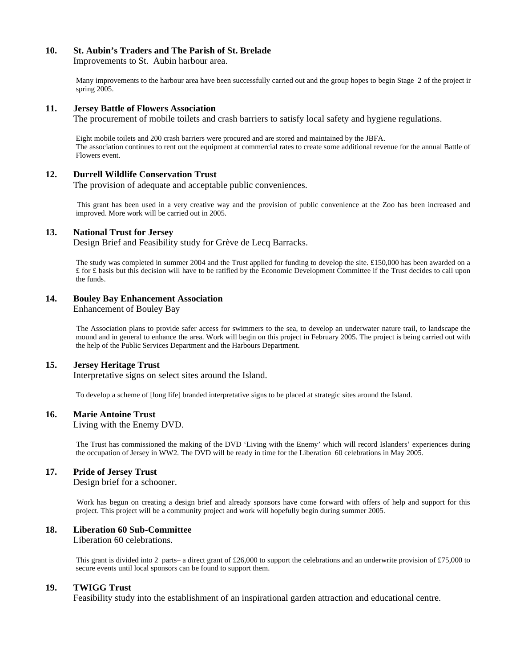#### **10. St. Aubin's Traders and The Parish of St. Brelade**

Improvements to St. Aubin harbour area.

 Many improvements to the harbour area have been successfully carried out and the group hopes to begin Stage 2 of the project in spring 2005.

#### **11. Jersey Battle of Flowers Association**

The procurement of mobile toilets and crash barriers to satisfy local safety and hygiene regulations.

 Eight mobile toilets and 200 crash barriers were procured and are stored and maintained by the JBFA. The association continues to rent out the equipment at commercial rates to create some additional revenue for the annual Battle of Flowers event.

#### **12. Durrell Wildlife Conservation Trust**

The provision of adequate and acceptable public conveniences.

 This grant has been used in a very creative way and the provision of public convenience at the Zoo has been increased and improved. More work will be carried out in 2005.

#### **13. National Trust for Jersey**

Design Brief and Feasibility study for Grève de Lecq Barracks.

 The study was completed in summer 2004 and the Trust applied for funding to develop the site. £150,000 has been awarded on a £ for £ basis but this decision will have to be ratified by the Economic Development Committee if the Trust decides to call upon the funds.

#### **14. Bouley Bay Enhancement Association**

Enhancement of Bouley Bay

 The Association plans to provide safer access for swimmers to the sea, to develop an underwater nature trail, to landscape the mound and in general to enhance the area. Work will begin on this project in February 2005. The project is being carried out with the help of the Public Services Department and the Harbours Department.

#### **15. Jersey Heritage Trust**

Interpretative signs on select sites around the Island.

To develop a scheme of [long life] branded interpretative signs to be placed at strategic sites around the Island.

#### **16. Marie Antoine Trust**

Living with the Enemy DVD.

 The Trust has commissioned the making of the DVD 'Living with the Enemy' which will record Islanders' experiences during the occupation of Jersey in WW2. The DVD will be ready in time for the Liberation 60 celebrations in May 2005.

#### **17. Pride of Jersey Trust**

Design brief for a schooner.

 Work has begun on creating a design brief and already sponsors have come forward with offers of help and support for this project. This project will be a community project and work will hopefully begin during summer 2005.

#### **18. Liberation 60 Sub-Committee**

Liberation 60 celebrations.

This grant is divided into 2 parts– a direct grant of £26,000 to support the celebrations and an underwrite provision of £75,000 to secure events until local sponsors can be found to support them.

#### **19. TWIGG Trust**

Feasibility study into the establishment of an inspirational garden attraction and educational centre.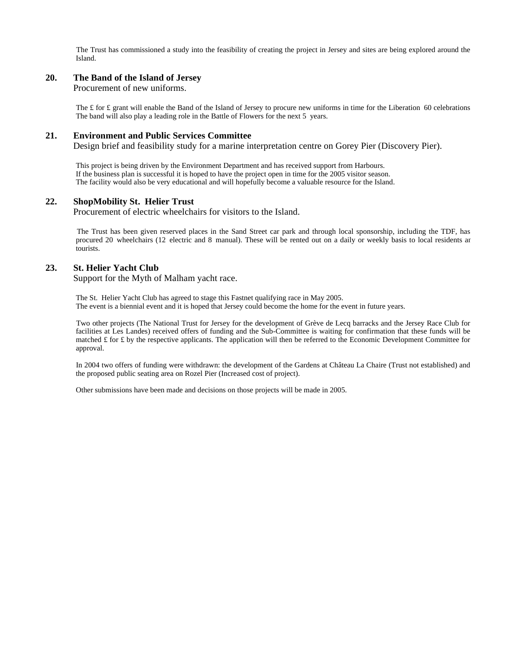The Trust has commissioned a study into the feasibility of creating the project in Jersey and sites are being explored around the Island.

#### **20. The Band of the Island of Jersey**

Procurement of new uniforms.

The £ for £ grant will enable the Band of the Island of Jersey to procure new uniforms in time for the Liberation 60 celebrations The band will also play a leading role in the Battle of Flowers for the next 5 years.

#### **21. Environment and Public Services Committee**

Design brief and feasibility study for a marine interpretation centre on Gorey Pier (Discovery Pier).

 This project is being driven by the Environment Department and has received support from Harbours. If the business plan is successful it is hoped to have the project open in time for the 2005 visitor season. The facility would also be very educational and will hopefully become a valuable resource for the Island.

#### **22. ShopMobility St. Helier Trust**

Procurement of electric wheelchairs for visitors to the Island.

 The Trust has been given reserved places in the Sand Street car park and through local sponsorship, including the TDF, has procured 20 wheelchairs (12 electric and 8 manual). These will be rented out on a daily or weekly basis to local residents and tourists.

#### **23. St. Helier Yacht Club**

Support for the Myth of Malham yacht race.

 The St. Helier Yacht Club has agreed to stage this Fastnet qualifying race in May 2005. The event is a biennial event and it is hoped that Jersey could become the home for the event in future years.

 Two other projects (The National Trust for Jersey for the development of Grève de Lecq barracks and the Jersey Race Club for facilities at Les Landes) received offers of funding and the Sub-Committee is waiting for confirmation that these funds will be matched  $\pounds$  for  $\pounds$  by the respective applicants. The application will then be referred to the Economic Development Committee for approval.

 In 2004 two offers of funding were withdrawn: the development of the Gardens at Château La Chaire (Trust not established) and the proposed public seating area on Rozel Pier (Increased cost of project).

Other submissions have been made and decisions on those projects will be made in 2005.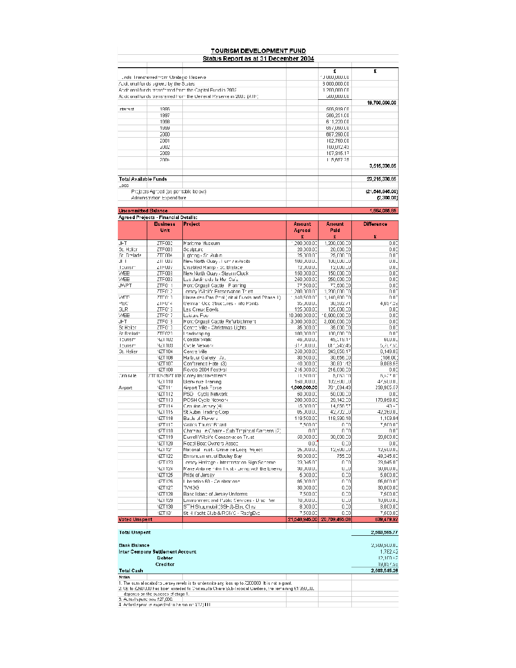|                            |                                                                     | <b>TOURISM DEVELOPMENT FUND</b><br>Status Report as at 31 December 2004                                |                         |                          |                                 |
|----------------------------|---------------------------------------------------------------------|--------------------------------------------------------------------------------------------------------|-------------------------|--------------------------|---------------------------------|
|                            |                                                                     |                                                                                                        |                         | £                        | £                               |
|                            | unds: Fransferred from Strategic Meserve                            |                                                                                                        |                         | 1 J UUU,UUU.LU           |                                 |
|                            | Auditional for ds sgreep by the States                              |                                                                                                        |                         | 3 000,000.CO             |                                 |
|                            |                                                                     | Anditional funds transformd from the Capital Fund in 2002.                                             |                         | 1 200,000 CO             |                                 |
|                            |                                                                     | Ac ditional funds transferred from the General Reserve in 2003 (ATF)                                   |                         | SUU,UUU.CU               |                                 |
|                            |                                                                     |                                                                                                        |                         |                          | 19,700,000.00                   |
| nterest                    | 1996                                                                |                                                                                                        |                         | 506,919.00               |                                 |
|                            | 1997                                                                |                                                                                                        |                         | 586,251.00               |                                 |
|                            | 1998                                                                |                                                                                                        |                         | 6'1,220.00               |                                 |
|                            | 1999                                                                |                                                                                                        |                         | 697,090.CO               |                                 |
|                            | 2000                                                                |                                                                                                        |                         | 687,290.CO               |                                 |
|                            | 2001                                                                |                                                                                                        |                         | 102,750.00               |                                 |
|                            | 2002                                                                |                                                                                                        |                         | 100,012.43               |                                 |
|                            | 2003                                                                |                                                                                                        |                         | 107,315.17               |                                 |
|                            | 2004                                                                |                                                                                                        |                         | 115,657.25               | 3,515,330.65                    |
| Total Available Funds      |                                                                     |                                                                                                        |                         |                          | 23,215,330.85                   |
| _ess                       |                                                                     |                                                                                                        |                         |                          |                                 |
|                            | Projects Agreed (as peritable below).<br>Administration Espenditure |                                                                                                        |                         |                          | (21, 648, 946.00)<br>(2,300.00) |
| <b>Uncommitted Balance</b> |                                                                     |                                                                                                        |                         |                          | 1,664,085.65                    |
|                            | Agreed Projects - Financial Details:                                |                                                                                                        |                         |                          |                                 |
|                            | <b>Eusiness</b>                                                     | Project                                                                                                | Amount                  | Amount                   | <b>Difference</b>               |
|                            | Unit                                                                |                                                                                                        | Agreed                  | Pald                     |                                 |
|                            |                                                                     |                                                                                                        | £                       | £                        | £                               |
| JFT                        | ZTF002                                                              | Maritme Museum                                                                                         | 200,000.00<br>20.000.00 | 1,200,000.00             | 0.01                            |
| St. Holier<br>5t Dr≡lade   | ZTF003<br><b>ZTE NO4</b>                                            | Sculpture<br>li ghting - Sti Aubin                                                                     | 25,000.00               | 20,000.00<br>25,000 TO   | 0.00<br>n n-                    |
| JI I                       | <b>ZTT UU3</b>                                                      | New North Quay - Furn / exhibits                                                                       | 100,000.01              | 100,000.10               | U.U.                            |
| licums m                   | ZTFUU7                                                              | L'isabled Ramp - St. Bralace                                                                           | 12,00001                | 12,000.10                | U.U.                            |
| WEE                        | ZTF003                                                              | New North Quay - Stearn Clock                                                                          | 150,000.00              | 150,000.00               | 0.00                            |
| WEE                        | ZTF003                                                              | LEs Jardirs de la Mer Cafel                                                                            | 260,000.00              | 250,000.00               | 0.00                            |
| <b>J</b> VVPT              | ZTF011                                                              | Mont Orgueil Castle Planning                                                                           | 77,500.00               | 77,600.00                | 0.03                            |
|                            | ZTEN: 2                                                             | ersey Wildlife Ereservation Trust                                                                      | רת תמר מתל, ו           | 1,200,600 70             | n n-                            |
| WEB                        | ר החדל                                                              | Havre des Pas Pool (oit al Funds and Phase II)                                                         | 140,568.81              | 1,140,500.00             | n nt                            |
| -⁄EC                       | ZIFU'4                                                              | (German Odd Structures - Info Points)                                                                  | 36,JUU.UL               | 30,562.71                | 4,857.23                        |
| 3LR.                       | ZTF019                                                              | Les Creux Eowls                                                                                        | 125,300.00              | 125,000.00               | 0.01                            |
| WEE                        | ZTF017                                                              | Laisure Foo                                                                                            | 10,300,300.00           | 10,900,000.00            | 0.01                            |
| J⊢T                        | ZTF013                                                              | Mont Orgueil Castle Refurbishment                                                                      | 3,300,300.00            | 3,000,000.00             | 0.01                            |
| St Helier                  | ZTF01)                                                              | Centro Ville - Christmas Lights                                                                        | 35,000.00               | 35,000.00                | 0.01                            |
| St Rmladt                  | ፖፐፑበ?ገ                                                              | Landscaping                                                                                            | 100,368.87              | TOO,COO TO               | n n-                            |
| licurism                   | NZT 102                                                             | Coastal Walk                                                                                           | 46, JUU.UL              | 45,119.17                | 600.0L                          |
| licums m<br>Gt. Helier     | NZT 103<br>NZT104                                                   | Cycle Network<br>Centre Ville                                                                          | 317,JUUUL<br>250,000.00 | 011,242.46<br>243,850.17 | 6.76''.61<br>6,149.83           |
|                            | NZT106                                                              | HarbLur Gallery - Art                                                                                  | 30,500.00               | 30,656.00                | (158.00)                        |
|                            | <b>NZT107</b>                                                       | Conference Hote (3)                                                                                    | 40,000.00               | 30,901.42                | 9,098.55                        |
|                            | NZT 108                                                             | Revels 2004 Festival                                                                                   | 216,000.00              | 215,000.00               | 0.00                            |
| Drouvi le                  |                                                                     | 7TE024/NZT109 Corey Improvements                                                                       | 11,500.00               | 5,063.00                 | 6,407.07                        |
|                            | NZT 110                                                             | Bienvinus Training                                                                                     | 150, JUU.UL             | 102,500.10               | 47,500.0L                       |
| A rport                    | NZT1111                                                             | Airport Task Force                                                                                     | 1,000,000.00            | 761,094.43               | 238,905.57                      |
|                            | <b>NZT112</b>                                                       | PSD Cycle Network                                                                                      | 50.000.00               | 50.000.00                | 0.03                            |
|                            | NZT113                                                              | POSH Cycle Network                                                                                     | 200,300.00              | 29,142.00                | 170,868.00                      |
|                            | <b>SET114</b>                                                       | Centrine Jersey (4)                                                                                    | 15,000.00               | 14,956.57                | 40.47                           |
|                            | NZT115                                                              | St Aubin, Frading Corp                                                                                 | U5, JUU.UL              | 42,732.10                | 42,2EU.UL                       |
|                            | NZT116                                                              | Battle of Flowers                                                                                      | 119,500.00              | 118,990.16               | 1,109.84                        |
|                            | NZT 117<br><b>NZT110</b>                                            | Wales Thurist Briard<br>Chateau Le Chaire - Sub Tropicoal Garbens (2)                                  | 7,500.07<br>n nt        | . n = n<br>n Tn          | 7,600 OC<br>n nt                |
|                            |                                                                     |                                                                                                        |                         |                          |                                 |
|                            | <b>NZT119</b>                                                       | Durrell Wildlife Conservation Trust.<br>Rozel Boat Owners Associ                                       | 50,000.00<br>0.01       | 30,000.00                | 20,000.00                       |
|                            | NZT120<br>NZT121                                                    | Mational I rust - Greve de Leogi Project                                                               | 25, JUU.UL              | 0.10<br>12,500.10        | 0.01<br>12,5LU.UL               |
|                            | NZT122                                                              | Emisnican ent of Bouley Bay                                                                            | 50,000.00               | 755.00                   | 49,245.00                       |
|                            | NZT123                                                              | ersey Heritage - Interarretation Sign Scheme.                                                          | 23,045.00               | n fn                     | 23,045.07                       |
|                            | NZT124                                                              | Marie Antoine Hilm Trust - Living with the Enemy-                                                      | 30,00001                | $U - U$                  | 30,000.01                       |
|                            | NZT125                                                              | Pride of Jersey                                                                                        | 5,000.00                | 0.10                     | 5,000.00                        |
|                            | NZT126                                                              | Liberation 60 - Celebrations                                                                           | 95,000.07               | n -n                     | 95,000.07                       |
|                            | <b>NZT127</b>                                                       | <b>TWIGG</b>                                                                                           | 30,000.00               | 0.10                     | 30,000.00                       |
|                            | <b>NZT128</b>                                                       | Band Island of Jersey Uniforms                                                                         | 7,500.00                | 0.10                     | 7,600.00                        |
|                            | NZT 129                                                             | Environment and Public Services - L) so then                                                           | 10,0000.                | $U = U$                  | 10,000.01                       |
|                            | NZT130                                                              | ST H Shupmubil (SSHJ)-Elec Clirs                                                                       | 8,000.00                | 0.10                     | 8,000.00                        |
|                            | JET 13.                                                             | St Himscht Club & RCIYC - RacigEyc                                                                     | 7,500.00                | 0.10                     | 7,600.00                        |
| <b>Voted Unspent</b>       |                                                                     |                                                                                                        | 21,548,945.00           | 20,709,465.08            | 839,479.92                      |
| <b>Total Unspent</b>       |                                                                     |                                                                                                        |                         |                          | 2,503,565.77                    |
|                            |                                                                     |                                                                                                        |                         |                          |                                 |
| <b>Bank Balance</b>        |                                                                     |                                                                                                        |                         |                          | 2,509,600.01<br>1,782.42        |
|                            | Inter Company Settlement Account<br><b>Debtor</b>                   |                                                                                                        |                         |                          |                                 |
|                            |                                                                     |                                                                                                        |                         |                          | 12,100.42                       |
|                            | Creditor                                                            |                                                                                                        |                         |                          | 19,857.55<br>2,503,545.26       |
| Total Cash<br><b>Nnies</b> |                                                                     |                                                                                                        |                         |                          |                                 |
|                            |                                                                     | 1. The sum allocated to Jersey revels is to underwrite any loss up to 7200000. It is not a grant,      |                         |                          |                                 |
|                            |                                                                     | 2. Up to £250 000 has been awarded to Chateau la Chaire Sub-Tropical Gardens, the remaining £1 350,_01 |                         |                          |                                 |
|                            | depends on the success of stage 1.                                  |                                                                                                        |                         |                          |                                 |
|                            | 3. Autust spend was £27,000. I                                      |                                                                                                        |                         |                          |                                 |
|                            | 4. Actual spend is expected to be aid in: £12,1101                  |                                                                                                        |                         |                          |                                 |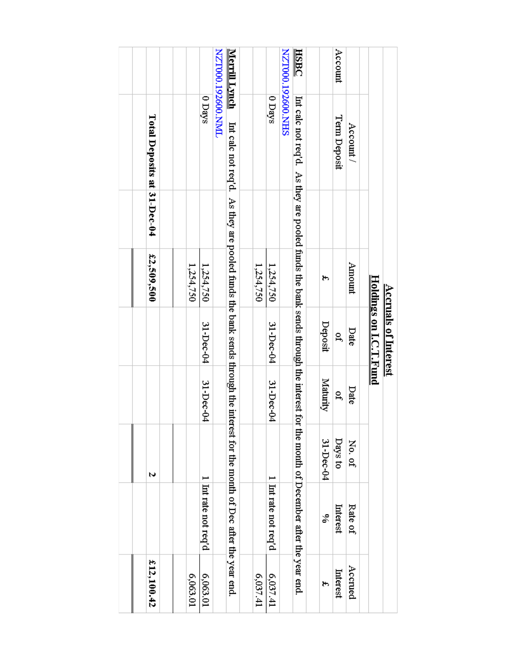|                           |                                                                                                                           |            | <u> Holdings on LC T. Fund</u><br><b>Accruals of Interest</b> |           |           |                                           |            |
|---------------------------|---------------------------------------------------------------------------------------------------------------------------|------------|---------------------------------------------------------------|-----------|-----------|-------------------------------------------|------------|
|                           | Account /                                                                                                                 | Amount     | Date                                                          | Date      | No. of    | Rate of                                   | Accrued    |
| Account                   | Term Deposit                                                                                                              |            | P,                                                            | å         | Days to   | Interest                                  | Interest   |
|                           |                                                                                                                           | ۳,         | Deposit                                                       | Maturity  | 31-Dec-04 | S,                                        | ۳          |
|                           |                                                                                                                           |            |                                                               |           |           |                                           |            |
| <b>HSBC</b>               | Interest to the interest the paral sends the bank sends through the interest for                                          |            |                                                               |           |           | the month of December after the year end. |            |
| <b>NZT000.19260.0.NHS</b> |                                                                                                                           |            |                                                               |           |           |                                           |            |
|                           | 0 Days                                                                                                                    | 1,254,750  | 31-Dec-04                                                     | 31-Dec-04 |           | Intrate not req'd                         | 6,037.41   |
|                           |                                                                                                                           | 1,254,750  |                                                               |           |           |                                           | 6,037.41   |
|                           |                                                                                                                           |            |                                                               |           |           |                                           |            |
| <u>Merrill Lynch</u>      | Int calc not req'd. As they are pooled funds the bank sends through the interest for the month of Dec after the year end. |            |                                                               |           |           |                                           |            |
| <b>IMIN 009761 00012N</b> |                                                                                                                           |            |                                                               |           |           |                                           |            |
|                           | 0 Days                                                                                                                    | 1,254,750  | 31-Dec-04                                                     | 31-Dec-04 |           | Intratemotreq'd                           | 6,063.01   |
|                           |                                                                                                                           | 1,254,750  |                                                               |           |           |                                           | 6,063.01   |
|                           |                                                                                                                           |            |                                                               |           |           |                                           |            |
|                           |                                                                                                                           |            |                                                               |           |           |                                           |            |
|                           | Total Deposits at 31-Dec-04                                                                                               | £2,509,500 |                                                               |           | N         |                                           | £12,100.42 |
|                           |                                                                                                                           |            |                                                               |           |           |                                           |            |
|                           |                                                                                                                           |            |                                                               |           |           |                                           |            |